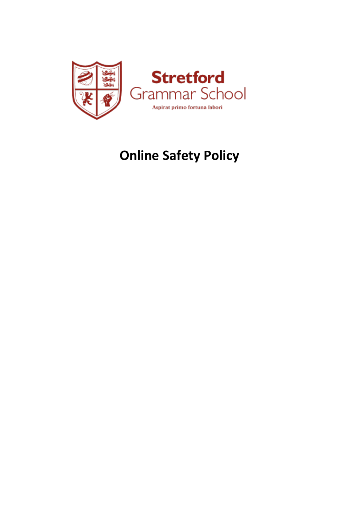

# **Online Safety Policy**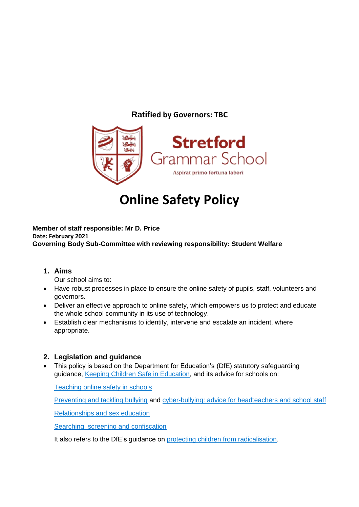### **Ratified by Governors: TBC**



## **Online Safety Policy**

#### **Member of staff responsible: Mr D. Price Date: February 2021 Governing Body Sub-Committee with reviewing responsibility: Student Welfare**

**1. Aims**

Our school aims to:

- Have robust processes in place to ensure the online safety of pupils, staff, volunteers and governors.
- Deliver an effective approach to online safety, which empowers us to protect and educate the whole school community in its use of technology.
- Establish clear mechanisms to identify, intervene and escalate an incident, where appropriate.

#### **2. Legislation and guidance**

• This policy is based on the Department for Education's (DfE) statutory safeguarding guidance, [Keeping Children Safe in Education,](https://www.gov.uk/government/publications/keeping-children-safe-in-education--2) and its advice for schools on:

[Teaching online safety in schools](https://www.gov.uk/government/publications/teaching-online-safety-in-schools)

[Preventing and tackling bullying](https://www.gov.uk/government/publications/preventing-and-tackling-bullying) and [cyber-bullying: advice for headteachers and school staff](https://www.gov.uk/government/publications/preventing-and-tackling-bullying)

[Relationships and sex education](https://www.gov.uk/government/publications/relationships-education-relationships-and-sex-education-rse-and-health-education)

[Searching, screening and confiscation](https://www.gov.uk/government/publications/searching-screening-and-confiscation)

It also refers to the DfE's quidance on [protecting children from radicalisation.](https://www.gov.uk/government/publications/protecting-children-from-radicalisation-the-prevent-duty)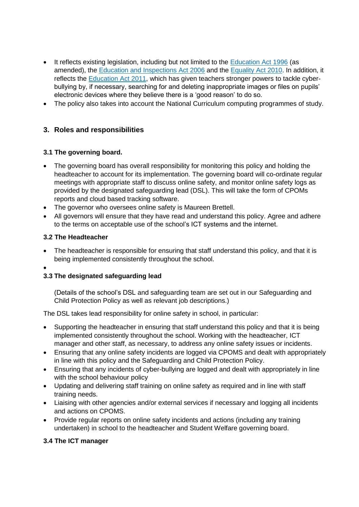- It reflects existing legislation, including but not limited to the [Education Act 1996](https://www.legislation.gov.uk/ukpga/1996/56/contents) (as amended), the [Education and Inspections Act 2006](https://www.legislation.gov.uk/ukpga/2006/40/contents) and the [Equality Act 2010.](https://www.legislation.gov.uk/ukpga/2010/15/contents) In addition, it reflects the [Education Act 2011,](http://www.legislation.gov.uk/ukpga/2011/21/contents/enacted) which has given teachers stronger powers to tackle cyberbullying by, if necessary, searching for and deleting inappropriate images or files on pupils' electronic devices where they believe there is a 'good reason' to do so.
- The policy also takes into account the National Curriculum computing programmes of study.

#### **3. Roles and responsibilities**

#### **3.1 The governing board.**

- The governing board has overall responsibility for monitoring this policy and holding the headteacher to account for its implementation. The governing board will co-ordinate regular meetings with appropriate staff to discuss online safety, and monitor online safety logs as provided by the designated safeguarding lead (DSL). This will take the form of CPOMs reports and cloud based tracking software.
- The governor who oversees online safety is Maureen Brettell.
- All governors will ensure that they have read and understand this policy. Agree and adhere to the terms on acceptable use of the school's ICT systems and the internet.

#### **3.2 The Headteacher**

- The headteacher is responsible for ensuring that staff understand this policy, and that it is being implemented consistently throughout the school.
- $\bullet$

#### **3.3 The designated safeguarding lead**

(Details of the school's DSL and safeguarding team are set out in our Safeguarding and Child Protection Policy as well as relevant job descriptions.)

The DSL takes lead responsibility for online safety in school, in particular:

- Supporting the headteacher in ensuring that staff understand this policy and that it is being implemented consistently throughout the school. Working with the headteacher, ICT manager and other staff, as necessary, to address any online safety issues or incidents.
- Ensuring that any online safety incidents are logged via CPOMS and dealt with appropriately in line with this policy and the Safeguarding and Child Protection Policy.
- Ensuring that any incidents of cyber-bullying are logged and dealt with appropriately in line with the school behaviour policy
- Updating and delivering staff training on online safety as required and in line with staff training needs.
- Liaising with other agencies and/or external services if necessary and logging all incidents and actions on CPOMS.
- Provide regular reports on online safety incidents and actions (including any training undertaken) in school to the headteacher and Student Welfare governing board.

#### **3.4 The ICT manager**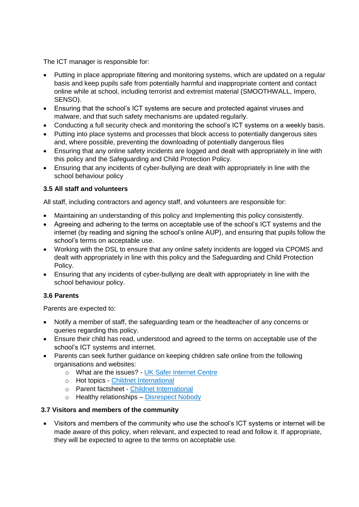The ICT manager is responsible for:

- Putting in place appropriate filtering and monitoring systems, which are updated on a regular basis and keep pupils safe from potentially harmful and inappropriate content and contact online while at school, including terrorist and extremist material (SMOOTHWALL, Impero, SENSO).
- Ensuring that the school's ICT systems are secure and protected against viruses and malware, and that such safety mechanisms are updated regularly.
- Conducting a full security check and monitoring the school's ICT systems on a weekly basis.
- Putting into place systems and processes that block access to potentially dangerous sites and, where possible, preventing the downloading of potentially dangerous files
- Ensuring that any online safety incidents are logged and dealt with appropriately in line with this policy and the Safeguarding and Child Protection Policy.
- Ensuring that any incidents of cyber-bullying are dealt with appropriately in line with the school behaviour policy

#### **3.5 All staff and volunteers**

All staff, including contractors and agency staff, and volunteers are responsible for:

- Maintaining an understanding of this policy and Implementing this policy consistently.
- Agreeing and adhering to the terms on acceptable use of the school's ICT systems and the internet (by reading and signing the school's online AUP), and ensuring that pupils follow the school's terms on acceptable use.
- Working with the DSL to ensure that any online safety incidents are logged via CPOMS and dealt with appropriately in line with this policy and the Safeguarding and Child Protection Policy.
- Ensuring that any incidents of cyber-bullying are dealt with appropriately in line with the school behaviour policy.

#### **3.6 Parents**

Parents are expected to:

- Notify a member of staff, the safeguarding team or the headteacher of any concerns or queries regarding this policy.
- Ensure their child has read, understood and agreed to the terms on acceptable use of the school's ICT systems and internet.
- Parents can seek further guidance on keeping children safe online from the following organisations and websites:
	- o What are the issues? [UK Safer Internet Centre](https://www.saferinternet.org.uk/advice-centre/parents-and-carers/what-are-issues)
	- o Hot topics [Childnet International](http://www.childnet.com/parents-and-carers/hot-topics)
	- o Parent factsheet [Childnet International](https://www.childnet.com/resources/parents-and-carers-resource-sheet)
	- o Healthy relationships [Disrespect Nobody](https://www.disrespectnobody.co.uk/)

#### **3.7 Visitors and members of the community**

 Visitors and members of the community who use the school's ICT systems or internet will be made aware of this policy, when relevant, and expected to read and follow it. If appropriate, they will be expected to agree to the terms on acceptable use.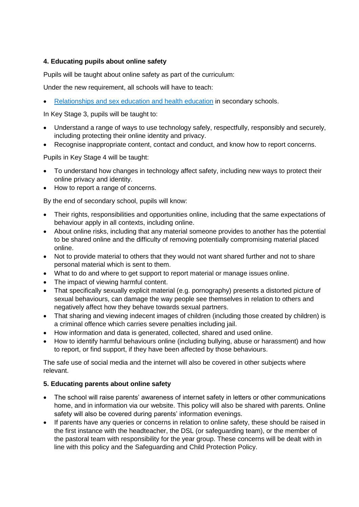#### **4. Educating pupils about online safety**

Pupils will be taught about online safety as part of the curriculum:

Under the new requirement, all schools will have to teach:

[Relationships and sex education and health education](https://schoolleaders.thekeysupport.com/uid/66a1d83e-2fb9-411e-91f1-fe52a09d16d1/) in secondary schools.

In Key Stage 3, pupils will be taught to:

- Understand a range of ways to use technology safely, respectfully, responsibly and securely, including protecting their online identity and privacy.
- Recognise inappropriate content, contact and conduct, and know how to report concerns.

Pupils in Key Stage 4 will be taught:

- To understand how changes in technology affect safety, including new ways to protect their online privacy and identity.
- How to report a range of concerns.

By the end of secondary school, pupils will know:

- Their rights, responsibilities and opportunities online, including that the same expectations of behaviour apply in all contexts, including online.
- About online risks, including that any material someone provides to another has the potential to be shared online and the difficulty of removing potentially compromising material placed online.
- Not to provide material to others that they would not want shared further and not to share personal material which is sent to them.
- What to do and where to get support to report material or manage issues online.
- The impact of viewing harmful content.
- That specifically sexually explicit material (e.g. pornography) presents a distorted picture of sexual behaviours, can damage the way people see themselves in relation to others and negatively affect how they behave towards sexual partners.
- That sharing and viewing indecent images of children (including those created by children) is a criminal offence which carries severe penalties including jail.
- How information and data is generated, collected, shared and used online.
- How to identify harmful behaviours online (including bullying, abuse or harassment) and how to report, or find support, if they have been affected by those behaviours.

The safe use of social media and the internet will also be covered in other subjects where relevant.

#### **5. Educating parents about online safety**

- The school will raise parents' awareness of internet safety in letters or other communications home, and in information via our website. This policy will also be shared with parents. Online safety will also be covered during parents' information evenings.
- If parents have any queries or concerns in relation to online safety, these should be raised in the first instance with the headteacher, the DSL (or safeguarding team), or the member of the pastoral team with responsibility for the year group. These concerns will be dealt with in line with this policy and the Safeguarding and Child Protection Policy.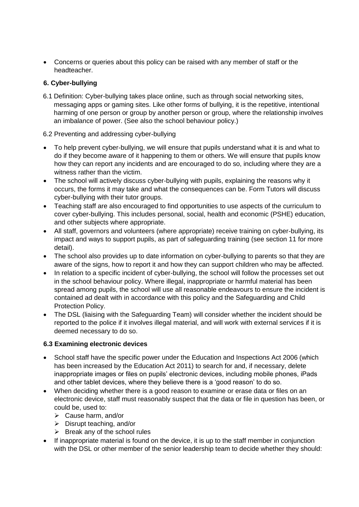Concerns or queries about this policy can be raised with any member of staff or the headteacher.

#### **6. Cyber-bullying**

6.1 Definition: Cyber-bullying takes place online, such as through social networking sites, messaging apps or gaming sites. Like other forms of bullying, it is the repetitive, intentional harming of one person or group by another person or group, where the relationship involves an imbalance of power. (See also the school behaviour policy.)

#### 6.2 Preventing and addressing cyber-bullying

- To help prevent cyber-bullying, we will ensure that pupils understand what it is and what to do if they become aware of it happening to them or others. We will ensure that pupils know how they can report any incidents and are encouraged to do so, including where they are a witness rather than the victim.
- The school will actively discuss cyber-bullying with pupils, explaining the reasons why it occurs, the forms it may take and what the consequences can be. Form Tutors will discuss cyber-bullying with their tutor groups.
- Teaching staff are also encouraged to find opportunities to use aspects of the curriculum to cover cyber-bullying. This includes personal, social, health and economic (PSHE) education, and other subjects where appropriate.
- All staff, governors and volunteers (where appropriate) receive training on cyber-bullying, its impact and ways to support pupils, as part of safeguarding training (see section 11 for more detail).
- The school also provides up to date information on cyber-bullying to parents so that they are aware of the signs, how to report it and how they can support children who may be affected.
- In relation to a specific incident of cyber-bullying, the school will follow the processes set out in the school behaviour policy. Where illegal, inappropriate or harmful material has been spread among pupils, the school will use all reasonable endeavours to ensure the incident is contained ad dealt with in accordance with this policy and the Safeguarding and Child Protection Policy.
- The DSL (liaising with the Safeguarding Team) will consider whether the incident should be reported to the police if it involves illegal material, and will work with external services if it is deemed necessary to do so.

#### **6.3 Examining electronic devices**

- School staff have the specific power under the Education and Inspections Act 2006 (which has been increased by the Education Act 2011) to search for and, if necessary, delete inappropriate images or files on pupils' electronic devices, including mobile phones, iPads and other tablet devices, where they believe there is a 'good reason' to do so.
- When deciding whether there is a good reason to examine or erase data or files on an electronic device, staff must reasonably suspect that the data or file in question has been, or could be, used to:
	- Cause harm, and/or
	- $\triangleright$  Disrupt teaching, and/or
	- $\triangleright$  Break any of the school rules
- If inappropriate material is found on the device, it is up to the staff member in conjunction with the DSL or other member of the senior leadership team to decide whether they should: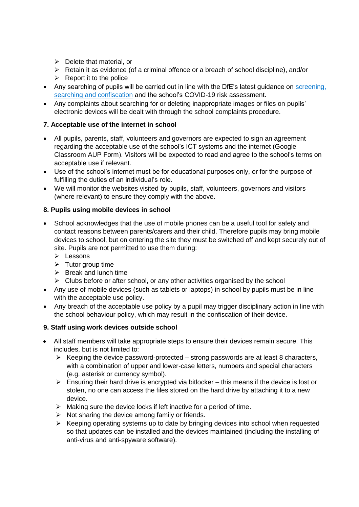- $\triangleright$  Delete that material, or
- $\triangleright$  Retain it as evidence (of a criminal offence or a breach of school discipline), and/or
- $\triangleright$  Report it to the police
- Any searching of pupils will be carried out in line with the DfE's latest guidance on screening, [searching and confiscation](https://www.gov.uk/government/publications/searching-screening-and-confiscation) and the school's COVID-19 risk assessment.
- Any complaints about searching for or deleting inappropriate images or files on pupils' electronic devices will be dealt with through the school complaints procedure.

#### **7. Acceptable use of the internet in school**

- All pupils, parents, staff, volunteers and governors are expected to sign an agreement regarding the acceptable use of the school's ICT systems and the internet (Google Classroom AUP Form). Visitors will be expected to read and agree to the school's terms on acceptable use if relevant.
- Use of the school's internet must be for educational purposes only, or for the purpose of fulfilling the duties of an individual's role.
- We will monitor the websites visited by pupils, staff, volunteers, governors and visitors (where relevant) to ensure they comply with the above.

#### **8. Pupils using mobile devices in school**

- School acknowledges that the use of mobile phones can be a useful tool for safety and contact reasons between parents/carers and their child. Therefore pupils may bring mobile devices to school, but on entering the site they must be switched off and kept securely out of site. Pupils are not permitted to use them during:
	- > Lessons
	- $\triangleright$  Tutor group time
	- $\triangleright$  Break and lunch time
	- $\triangleright$  Clubs before or after school, or any other activities organised by the school
- Any use of mobile devices (such as tablets or laptops) in school by pupils must be in line with the acceptable use policy.
- Any breach of the acceptable use policy by a pupil may trigger disciplinary action in line with the school behaviour policy, which may result in the confiscation of their device.

#### **9. Staff using work devices outside school**

- All staff members will take appropriate steps to ensure their devices remain secure. This includes, but is not limited to:
	- $\triangleright$  Keeping the device password-protected strong passwords are at least 8 characters, with a combination of upper and lower-case letters, numbers and special characters (e.g. asterisk or currency symbol).
	- $\triangleright$  Ensuring their hard drive is encrypted via bitlocker this means if the device is lost or stolen, no one can access the files stored on the hard drive by attaching it to a new device.
	- $\triangleright$  Making sure the device locks if left inactive for a period of time.
	- $\triangleright$  Not sharing the device among family or friends.
	- $\triangleright$  Keeping operating systems up to date by bringing devices into school when requested so that updates can be installed and the devices maintained (including the installing of anti-virus and anti-spyware software).